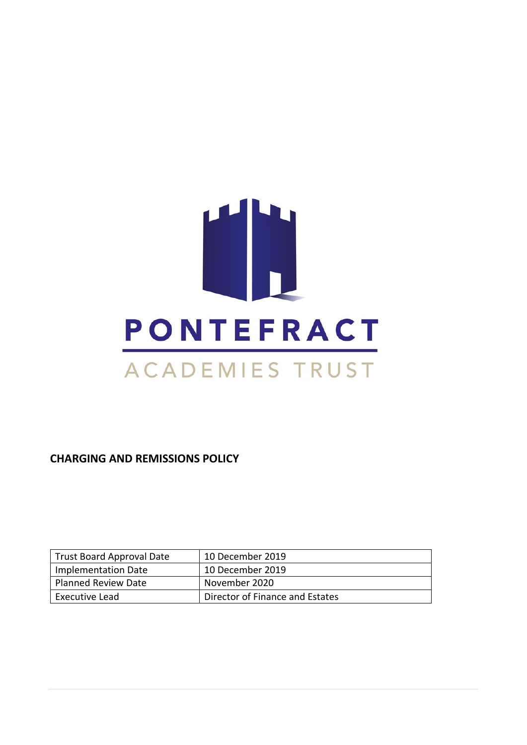# H. **PONTEFRACT** ACADEMIES TRUST

**CHARGING AND REMISSIONS POLICY**

| Trust Board Approval Date | 10 December 2019                |
|---------------------------|---------------------------------|
| Implementation Date       | 10 December 2019                |
| Planned Review Date       | November 2020                   |
| Executive Lead            | Director of Finance and Estates |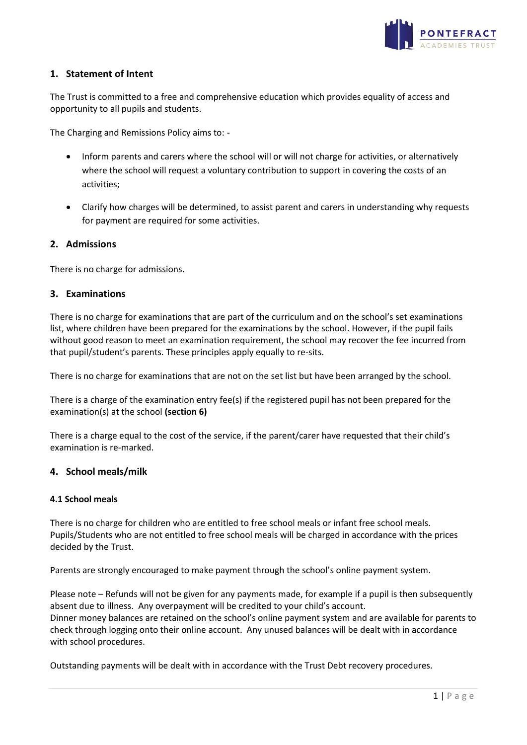

# **1. Statement of Intent**

The Trust is committed to a free and comprehensive education which provides equality of access and opportunity to all pupils and students.

The Charging and Remissions Policy aims to: -

- Inform parents and carers where the school will or will not charge for activities, or alternatively where the school will request a voluntary contribution to support in covering the costs of an activities;
- Clarify how charges will be determined, to assist parent and carers in understanding why requests for payment are required for some activities.

#### **2. Admissions**

There is no charge for admissions.

#### **3. Examinations**

There is no charge for examinations that are part of the curriculum and on the school's set examinations list, where children have been prepared for the examinations by the school. However, if the pupil fails without good reason to meet an examination requirement, the school may recover the fee incurred from that pupil/student's parents. These principles apply equally to re-sits.

There is no charge for examinations that are not on the set list but have been arranged by the school.

There is a charge of the examination entry fee(s) if the registered pupil has not been prepared for the examination(s) at the school **(section 6)**

There is a charge equal to the cost of the service, if the parent/carer have requested that their child's examination is re-marked.

#### **4. School meals/milk**

#### **4.1 School meals**

There is no charge for children who are entitled to free school meals or infant free school meals. Pupils/Students who are not entitled to free school meals will be charged in accordance with the prices decided by the Trust.

Parents are strongly encouraged to make payment through the school's online payment system.

Please note – Refunds will not be given for any payments made, for example if a pupil is then subsequently absent due to illness. Any overpayment will be credited to your child's account. Dinner money balances are retained on the school's online payment system and are available for parents to check through logging onto their online account. Any unused balances will be dealt with in accordance with school procedures.

Outstanding payments will be dealt with in accordance with the Trust Debt recovery procedures.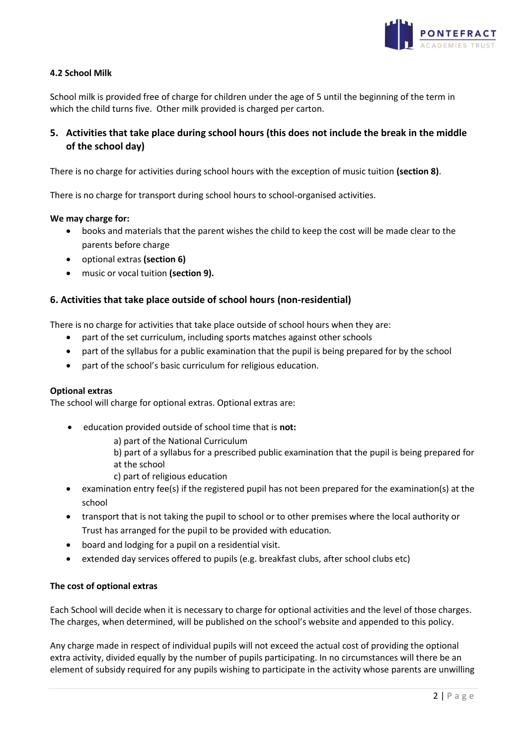

# **4.2 School Milk**

School milk is provided free of charge for children under the age of 5 until the beginning of the term in which the child turns five. Other milk provided is charged per carton.

# **5. Activities that take place during school hours (this does not include the break in the middle of the school day)**

There is no charge for activities during school hours with the exception of music tuition **(section 8)**.

There is no charge for transport during school hours to school-organised activities.

#### **We may charge for:**

- books and materials that the parent wishes the child to keep the cost will be made clear to the parents before charge
- optional extras **(section 6)**
- music or vocal tuition **(section 9).**

# **6. Activities that take place outside of school hours (non-residential)**

There is no charge for activities that take place outside of school hours when they are:

- part of the set curriculum, including sports matches against other schools
- part of the syllabus for a public examination that the pupil is being prepared for by the school
- part of the school's basic curriculum for religious education.

#### **Optional extras**

The school will charge for optional extras. Optional extras are:

- education provided outside of school time that is **not:**
	- a) part of the National Curriculum
	- b) part of a syllabus for a prescribed public examination that the pupil is being prepared for at the school
	- c) part of religious education
- examination entry fee(s) if the registered pupil has not been prepared for the examination(s) at the school
- transport that is not taking the pupil to school or to other premises where the local authority or Trust has arranged for the pupil to be provided with education*.*
- board and lodging for a pupil on a residential visit.
- extended day services offered to pupils (e.g. breakfast clubs, after school clubs etc)

#### **The cost of optional extras**

Each School will decide when it is necessary to charge for optional activities and the level of those charges. The charges, when determined, will be published on the school's website and appended to this policy.

Any charge made in respect of individual pupils will not exceed the actual cost of providing the optional extra activity, divided equally by the number of pupils participating. In no circumstances will there be an element of subsidy required for any pupils wishing to participate in the activity whose parents are unwilling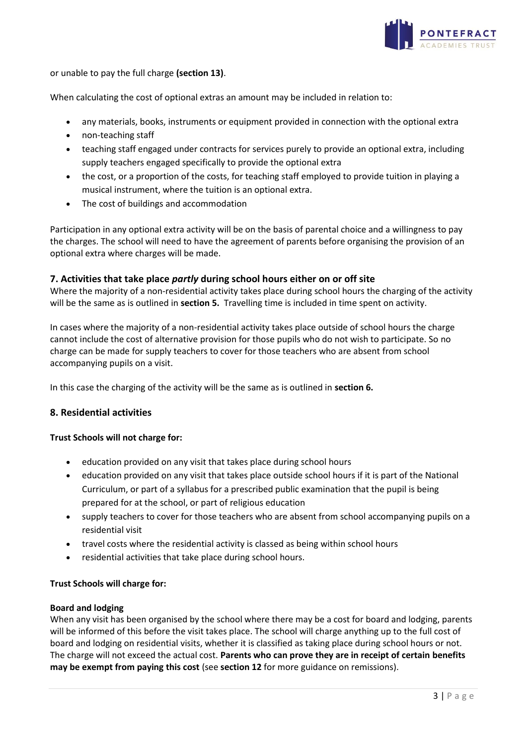

or unable to pay the full charge **(section 13)**.

When calculating the cost of optional extras an amount may be included in relation to:

- any materials, books, instruments or equipment provided in connection with the optional extra
- non-teaching staff
- teaching staff engaged under contracts for services purely to provide an optional extra, including supply teachers engaged specifically to provide the optional extra
- the cost, or a proportion of the costs, for teaching staff employed to provide tuition in playing a musical instrument, where the tuition is an optional extra.
- The cost of buildings and accommodation

Participation in any optional extra activity will be on the basis of parental choice and a willingness to pay the charges. The school will need to have the agreement of parents before organising the provision of an optional extra where charges will be made.

#### **7. Activities that take place** *partly* **during school hours either on or off site**

Where the majority of a non-residential activity takes place during school hours the charging of the activity will be the same as is outlined in **section 5.** Travelling time is included in time spent on activity.

In cases where the majority of a non-residential activity takes place outside of school hours the charge cannot include the cost of alternative provision for those pupils who do not wish to participate. So no charge can be made for supply teachers to cover for those teachers who are absent from school accompanying pupils on a visit.

In this case the charging of the activity will be the same as is outlined in **section 6.**

#### **8. Residential activities**

#### **Trust Schools will not charge for:**

- education provided on any visit that takes place during school hours
- education provided on any visit that takes place outside school hours if it is part of the National Curriculum, or part of a syllabus for a prescribed public examination that the pupil is being prepared for at the school, or part of religious education
- supply teachers to cover for those teachers who are absent from school accompanying pupils on a residential visit
- travel costs where the residential activity is classed as being within school hours
- residential activities that take place during school hours.

#### **Trust Schools will charge for:**

#### **Board and lodging**

When any visit has been organised by the school where there may be a cost for board and lodging, parents will be informed of this before the visit takes place. The school will charge anything up to the full cost of board and lodging on residential visits, whether it is classified as taking place during school hours or not. The charge will not exceed the actual cost. **Parents who can prove they are in receipt of certain benefits may be exempt from paying this cost** (see **section 12** for more guidance on remissions).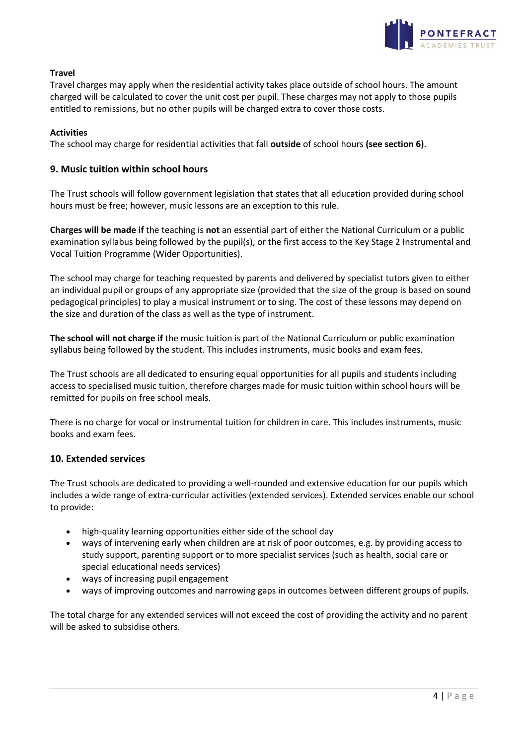

# **Travel**

Travel charges may apply when the residential activity takes place outside of school hours. The amount charged will be calculated to cover the unit cost per pupil. These charges may not apply to those pupils entitled to remissions, but no other pupils will be charged extra to cover those costs.

### **Activities**

The school may charge for residential activities that fall **outside** of school hours **(see section 6)**.

# **9. Music tuition within school hours**

The Trust schools will follow government legislation that states that all education provided during school hours must be free; however, music lessons are an exception to this rule.

**Charges will be made if** the teaching is **not** an essential part of either the National Curriculum or a public examination syllabus being followed by the pupil(s), or the first access to the Key Stage 2 Instrumental and Vocal Tuition Programme (Wider Opportunities).

The school may charge for teaching requested by parents and delivered by specialist tutors given to either an individual pupil or groups of any appropriate size (provided that the size of the group is based on sound pedagogical principles) to play a musical instrument or to sing. The cost of these lessons may depend on the size and duration of the class as well as the type of instrument.

**The school will not charge if** the music tuition is part of the National Curriculum or public examination syllabus being followed by the student. This includes instruments, music books and exam fees.

The Trust schools are all dedicated to ensuring equal opportunities for all pupils and students including access to specialised music tuition, therefore charges made for music tuition within school hours will be remitted for pupils on free school meals.

There is no charge for vocal or instrumental tuition for children in care. This includes instruments, music books and exam fees.

# **10. Extended services**

The Trust schools are dedicated to providing a well-rounded and extensive education for our pupils which includes a wide range of extra-curricular activities (extended services). Extended services enable our school to provide:

- high-quality learning opportunities either side of the school day
- ways of intervening early when children are at risk of poor outcomes, e.g. by providing access to study support, parenting support or to more specialist services (such as health, social care or special educational needs services)
- ways of increasing pupil engagement
- ways of improving outcomes and narrowing gaps in outcomes between different groups of pupils.

The total charge for any extended services will not exceed the cost of providing the activity and no parent will be asked to subsidise others.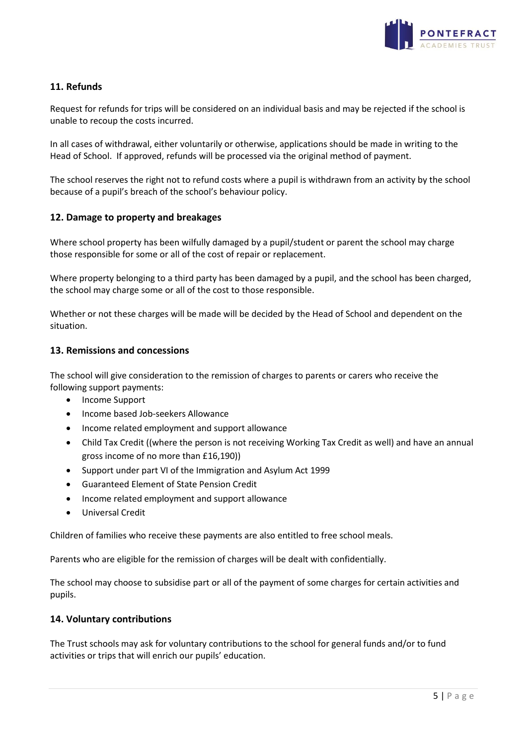

# **11. Refunds**

Request for refunds for trips will be considered on an individual basis and may be rejected if the school is unable to recoup the costs incurred.

In all cases of withdrawal, either voluntarily or otherwise, applications should be made in writing to the Head of School. If approved, refunds will be processed via the original method of payment.

The school reserves the right not to refund costs where a pupil is withdrawn from an activity by the school because of a pupil's breach of the school's behaviour policy.

# **12. Damage to property and breakages**

Where school property has been wilfully damaged by a pupil/student or parent the school may charge those responsible for some or all of the cost of repair or replacement.

Where property belonging to a third party has been damaged by a pupil, and the school has been charged, the school may charge some or all of the cost to those responsible.

Whether or not these charges will be made will be decided by the Head of School and dependent on the situation.

# **13. Remissions and concessions**

The school will give consideration to the remission of charges to parents or carers who receive the following support payments:

- Income Support
- Income based Job-seekers Allowance
- Income related employment and support allowance
- Child Tax Credit ((where the person is not receiving Working Tax Credit as well) and have an annual gross income of no more than £16,190))
- Support under part VI of the Immigration and Asylum Act 1999
- Guaranteed Element of State Pension Credit
- Income related employment and support allowance
- Universal Credit

Children of families who receive these payments are also entitled to free school meals.

Parents who are eligible for the remission of charges will be dealt with confidentially.

The school may choose to subsidise part or all of the payment of some charges for certain activities and pupils.

# **14. Voluntary contributions**

The Trust schools may ask for voluntary contributions to the school for general funds and/or to fund activities or trips that will enrich our pupils' education.